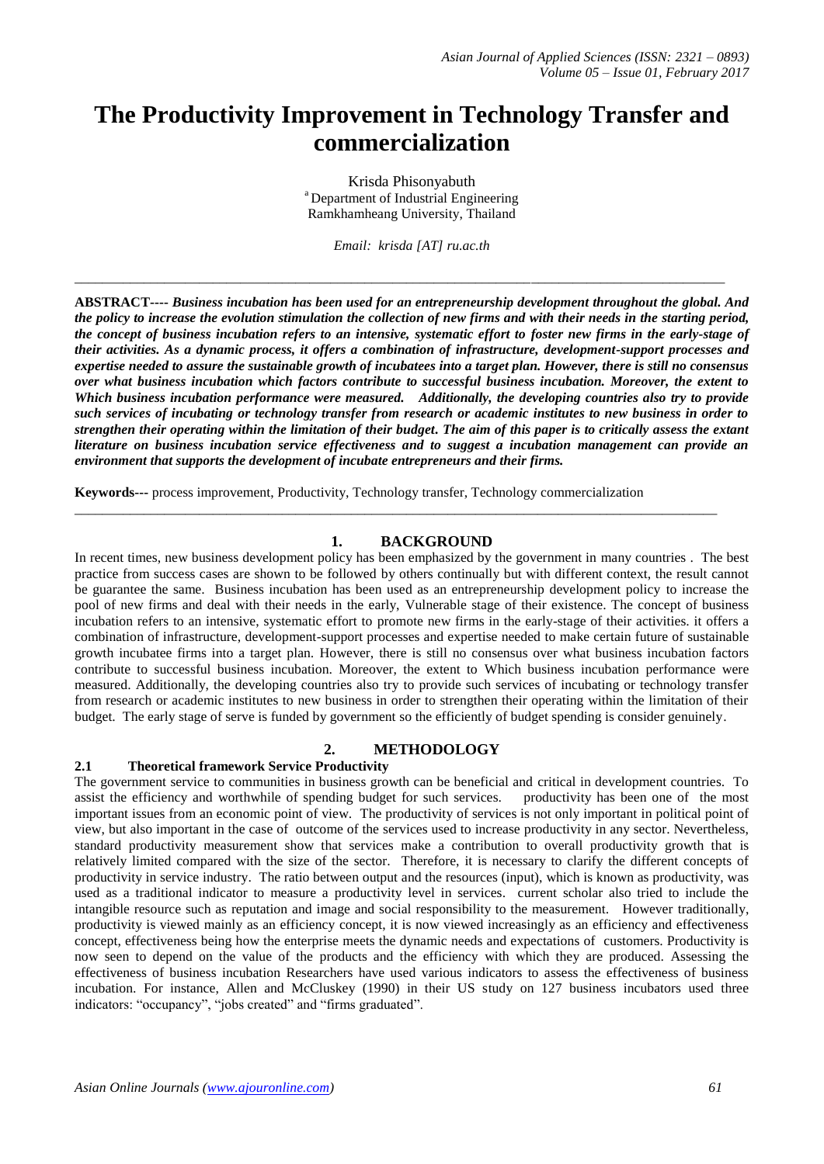# **The Productivity Improvement in Technology Transfer and commercialization**

Krisda Phisonyabuth <sup>a</sup> Department of Industrial Engineering Ramkhamheang University, Thailand

*Email: krisda [AT] ru.ac.th*

\_\_\_\_\_\_\_\_\_\_\_\_\_\_\_\_\_\_\_\_\_\_\_\_\_\_\_\_\_\_\_\_\_\_\_\_\_\_\_\_\_\_\_\_\_\_\_\_\_\_\_\_\_\_\_\_\_\_\_\_\_\_\_\_\_\_\_\_\_\_\_\_\_\_\_\_\_\_\_\_\_\_\_\_\_\_\_\_\_\_\_\_\_\_

**ABSTRACT----** *Business incubation has been used for an entrepreneurship development throughout the global. And the policy to increase the evolution stimulation the collection of new firms and with their needs in the starting period, the concept of business incubation refers to an intensive, systematic effort to foster new firms in the early-stage of their activities. As a dynamic process, it offers a combination of infrastructure, development-support processes and expertise needed to assure the sustainable growth of incubatees into a target plan. However, there is still no consensus over what business incubation which factors contribute to successful business incubation. Moreover, the extent to Which business incubation performance were measured. Additionally, the developing countries also try to provide such services of incubating or technology transfer from research or academic institutes to new business in order to strengthen their operating within the limitation of their budget. The aim of this paper is to critically assess the extant literature on business incubation service effectiveness and to suggest a incubation management can provide an environment that supports the development of incubate entrepreneurs and their firms.* 

**Keywords---** process improvement, Productivity, Technology transfer, Technology commercialization

## **1. BACKGROUND**

\_\_\_\_\_\_\_\_\_\_\_\_\_\_\_\_\_\_\_\_\_\_\_\_\_\_\_\_\_\_\_\_\_\_\_\_\_\_\_\_\_\_\_\_\_\_\_\_\_\_\_\_\_\_\_\_\_\_\_\_\_\_\_\_\_\_\_\_\_\_\_\_\_\_\_\_\_\_\_\_\_\_\_\_\_\_\_\_\_\_\_\_\_

In recent times, new business development policy has been emphasized by the government in many countries . The best practice from success cases are shown to be followed by others continually but with different context, the result cannot be guarantee the same. Business incubation has been used as an entrepreneurship development policy to increase the pool of new firms and deal with their needs in the early, Vulnerable stage of their existence. The concept of business incubation refers to an intensive, systematic effort to promote new firms in the early-stage of their activities. it offers a combination of infrastructure, development-support processes and expertise needed to make certain future of sustainable growth incubatee firms into a target plan. However, there is still no consensus over what business incubation factors contribute to successful business incubation. Moreover, the extent to Which business incubation performance were measured. Additionally, the developing countries also try to provide such services of incubating or technology transfer from research or academic institutes to new business in order to strengthen their operating within the limitation of their budget. The early stage of serve is funded by government so the efficiently of budget spending is consider genuinely.

## **2. METHODOLOGY**

#### **2.1 Theoretical framework Service Productivity**

The government service to communities in business growth can be beneficial and critical in development countries. To assist the efficiency and worthwhile of spending budget for such services. productivity has been one of the most important issues from an economic point of view. The productivity of services is not only important in political point of view, but also important in the case of outcome of the services used to increase productivity in any sector. Nevertheless, standard productivity measurement show that services make a contribution to overall productivity growth that is relatively limited compared with the size of the sector. Therefore, it is necessary to clarify the different concepts of productivity in service industry. The ratio between output and the resources (input), which is known as productivity, was used as a traditional indicator to measure a productivity level in services. current scholar also tried to include the intangible resource such as reputation and image and social responsibility to the measurement. However traditionally, productivity is viewed mainly as an efficiency concept, it is now viewed increasingly as an efficiency and effectiveness concept, effectiveness being how the enterprise meets the dynamic needs and expectations of customers. Productivity is now seen to depend on the value of the products and the efficiency with which they are produced. Assessing the effectiveness of business incubation Researchers have used various indicators to assess the effectiveness of business incubation. For instance, Allen and McCluskey (1990) in their US study on 127 business incubators used three indicators: "occupancy", "jobs created" and "firms graduated".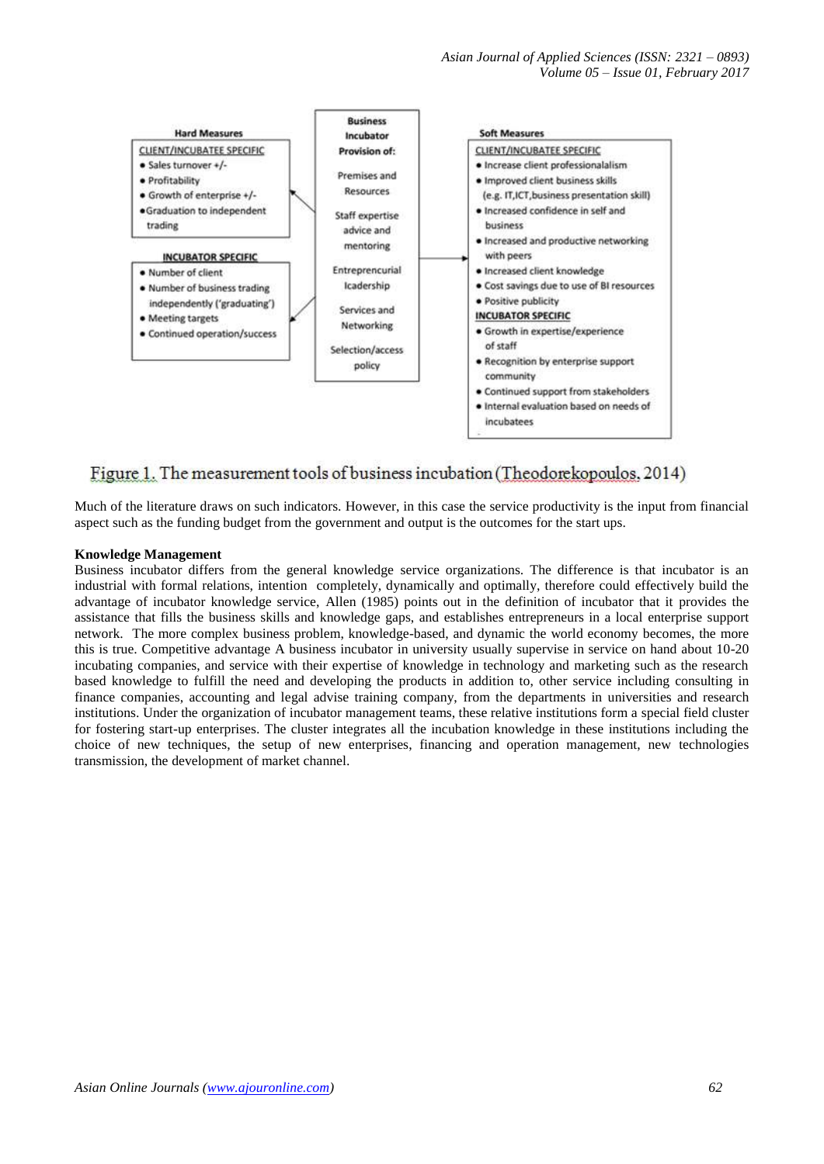*Asian Journal of Applied Sciences (ISSN: 2321 – 0893) Volume 05 – Issue 01, February 2017*



# Figure 1. The measurement tools of business incubation (Theodorekopoulos, 2014)

Much of the literature draws on such indicators. However, in this case the service productivity is the input from financial aspect such as the funding budget from the government and output is the outcomes for the start ups.

#### **Knowledge Management**

Business incubator differs from the general knowledge service organizations. The difference is that incubator is an industrial with formal relations, intention completely, dynamically and optimally, therefore could effectively build the advantage of incubator knowledge service, Allen (1985) points out in the definition of incubator that it provides the assistance that fills the business skills and knowledge gaps, and establishes entrepreneurs in a local enterprise support network. The more complex business problem, knowledge-based, and dynamic the world economy becomes, the more this is true. Competitive advantage A business incubator in university usually supervise in service on hand about 10-20 incubating companies, and service with their expertise of knowledge in technology and marketing such as the research based knowledge to fulfill the need and developing the products in addition to, other service including consulting in finance companies, accounting and legal advise training company, from the departments in universities and research institutions. Under the organization of incubator management teams, these relative institutions form a special field cluster for fostering start-up enterprises. The cluster integrates all the incubation knowledge in these institutions including the choice of new techniques, the setup of new enterprises, financing and operation management, new technologies transmission, the development of market channel.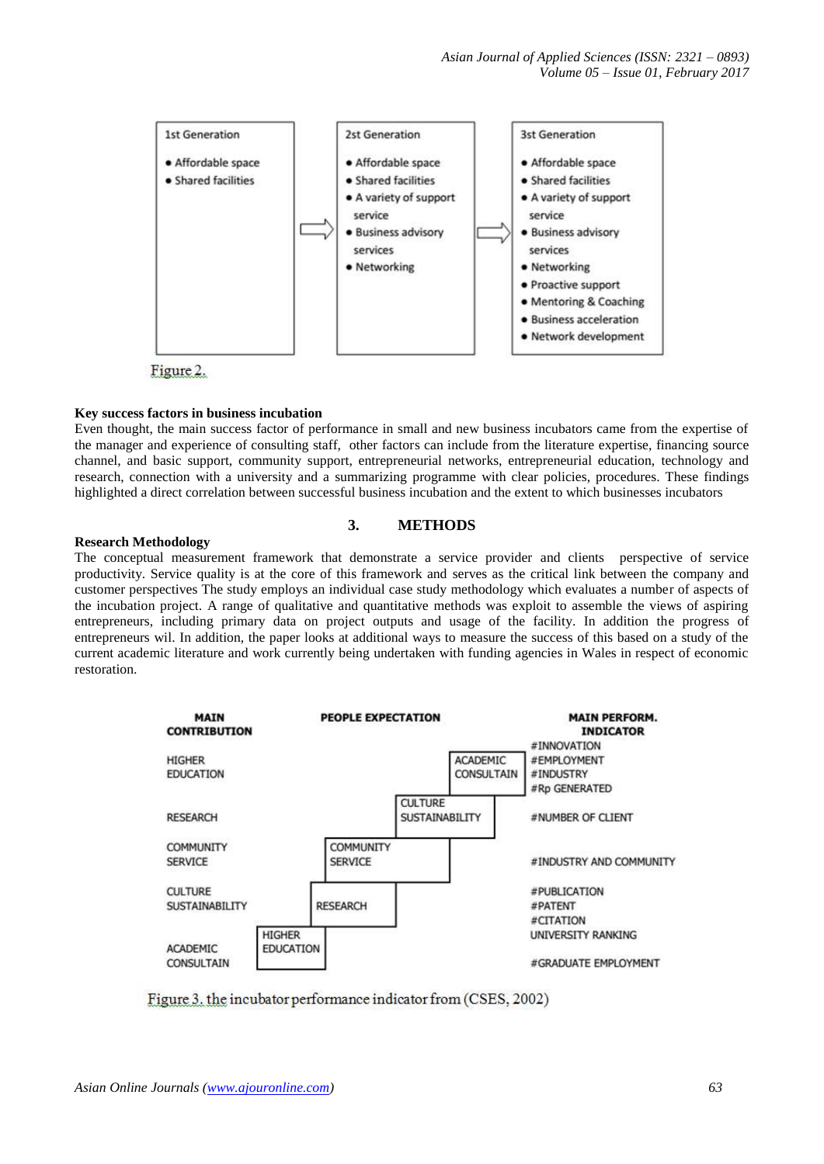*Asian Journal of Applied Sciences (ISSN: 2321 – 0893) Volume 05 – Issue 01, February 2017*



#### **Key success factors in business incubation**

Even thought, the main success factor of performance in small and new business incubators came from the expertise of the manager and experience of consulting staff, other factors can include from the literature expertise, financing source channel, and basic support, community support, entrepreneurial networks, entrepreneurial education, technology and research, connection with a university and a summarizing programme with clear policies, procedures. These findings highlighted a direct correlation between successful business incubation and the extent to which businesses incubators

#### **3. METHODS**

#### **Research Methodology**

The conceptual measurement framework that demonstrate a service provider and clients perspective of service productivity. Service quality is at the core of this framework and serves as the critical link between the company and customer perspectives The study employs an individual case study methodology which evaluates a number of aspects of the incubation project. A range of qualitative and quantitative methods was exploit to assemble the views of aspiring entrepreneurs, including primary data on project outputs and usage of the facility. In addition the progress of entrepreneurs wil. In addition, the paper looks at additional ways to measure the success of this based on a study of the current academic literature and work currently being undertaken with funding agencies in Wales in respect of economic restoration.



Figure 3. the incubator performance indicator from (CSES, 2002)